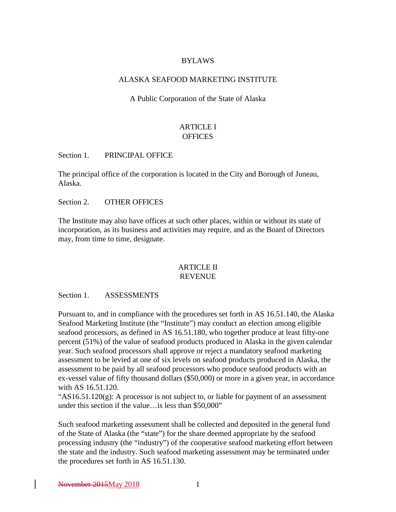### BYLAWS

#### ALASKA SEAFOOD MARKETING INSTITUTE

A Public Corporation of the State of Alaska

# ARTICLE I **OFFICES**

Section 1. PRINCIPAL OFFICE

The principal office of the corporation is located in the City and Borough of Juneau, Alaska.

Section 2. OTHER OFFICES

The Institute may also have offices at such other places, within or without its state of incorporation, as its business and activities may require, and as the Board of Directors may, from time to time, designate.

#### ARTICLE II REVENUE

Section 1. ASSESSMENTS

Pursuant to, and in compliance with the procedures set forth in AS 16.51.140, the Alaska Seafood Marketing Institute (the "Institute") may conduct an election among eligible seafood processors, as defined in AS 16.51.180, who together produce at least fifty-one percent (51%) of the value of seafood products produced in Alaska in the given calendar year. Such seafood processors shall approve or reject a mandatory seafood marketing assessment to be levied at one of six levels on seafood products produced in Alaska, the assessment to be paid by all seafood processors who produce seafood products with an ex-vessel value of fifty thousand dollars (\$50,000) or more in a given year, in accordance with AS 16.51.120.

" $AS16.51.120(g)$ : A processor is not subject to, or liable for payment of an assessment under this section if the value…is less than \$50,000"

Such seafood marketing assessment shall be collected and deposited in the general fund of the State of Alaska (the "state") for the share deemed appropriate by the seafood processing industry (the "industry") of the cooperative seafood marketing effort between the state and the industry. Such seafood marketing assessment may be terminated under the procedures set forth in AS 16.51.130.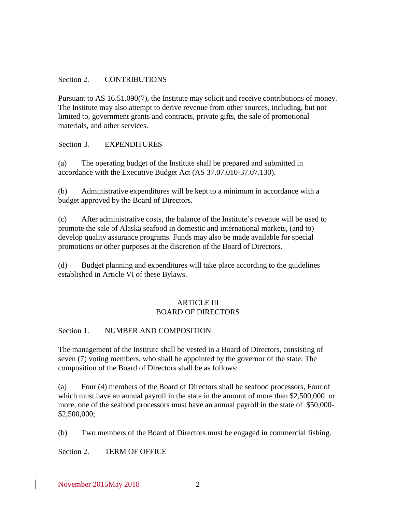#### Section 2. CONTRIBUTIONS

Pursuant to AS 16.51.090(7), the Institute may solicit and receive contributions of money. The Institute may also attempt to derive revenue from other sources, including, but not limited to, government grants and contracts, private gifts, the sale of promotional materials, and other services.

#### Section 3. EXPENDITURES

(a) The operating budget of the Institute shall be prepared and submitted in accordance with the Executive Budget Act (AS 37.07.010-37.07.130).

(b) Administrative expenditures will be kept to a minimum in accordance with a budget approved by the Board of Directors.

(c) After administrative costs, the balance of the Institute's revenue will be used to promote the sale of Alaska seafood in domestic and international markets, (and to) develop quality assurance programs. Funds may also be made available for special promotions or other purposes at the discretion of the Board of Directors.

(d) Budget planning and expenditures will take place according to the guidelines established in Article VI of these Bylaws.

#### **ARTICLE III** BOARD OF DIRECTORS

#### Section 1. NUMBER AND COMPOSITION

The management of the Institute shall be vested in a Board of Directors, consisting of seven (7) voting members, who shall be appointed by the governor of the state. The composition of the Board of Directors shall be as follows:

(a) Four (4) members of the Board of Directors shall be seafood processors, Four of which must have an annual payroll in the state in the amount of more than \$2,500,000 or more, one of the seafood processors must have an annual payroll in the state of \$50,000- \$2,500,000;

(b) Two members of the Board of Directors must be engaged in commercial fishing.

Section 2. TERM OF OFFICE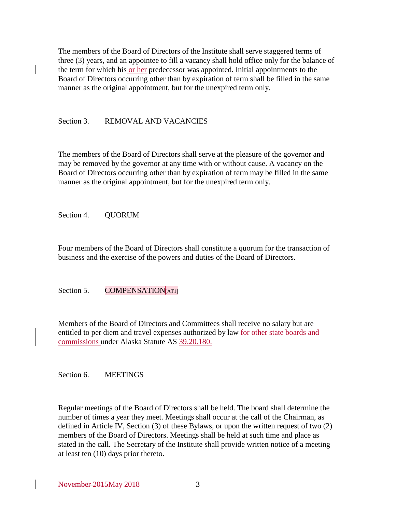The members of the Board of Directors of the Institute shall serve staggered terms of three (3) years, and an appointee to fill a vacancy shall hold office only for the balance of the term for which his or her predecessor was appointed. Initial appointments to the Board of Directors occurring other than by expiration of term shall be filled in the same manner as the original appointment, but for the unexpired term only.

### Section 3. REMOVAL AND VACANCIES

The members of the Board of Directors shall serve at the pleasure of the governor and may be removed by the governor at any time with or without cause. A vacancy on the Board of Directors occurring other than by expiration of term may be filled in the same manner as the original appointment, but for the unexpired term only.

Section 4. QUORUM

Four members of the Board of Directors shall constitute a quorum for the transaction of business and the exercise of the powers and duties of the Board of Directors.

Section 5. COMPENSATION[AT1]

Members of the Board of Directors and Committees shall receive no salary but are entitled to per diem and travel expenses authorized by law for other state boards and commissions under Alaska Statute AS 39.20.180.

Section 6. MEETINGS

Regular meetings of the Board of Directors shall be held. The board shall determine the number of times a year they meet. Meetings shall occur at the call of the Chairman, as defined in Article IV, Section (3) of these Bylaws, or upon the written request of two (2) members of the Board of Directors. Meetings shall be held at such time and place as stated in the call. The Secretary of the Institute shall provide written notice of a meeting at least ten (10) days prior thereto.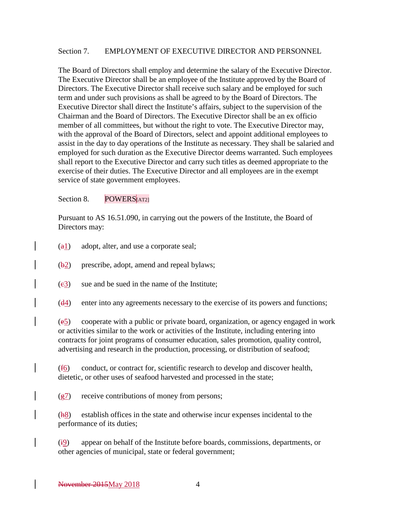#### Section 7. EMPLOYMENT OF EXECUTIVE DIRECTOR AND PERSONNEL

The Board of Directors shall employ and determine the salary of the Executive Director. The Executive Director shall be an employee of the Institute approved by the Board of Directors. The Executive Director shall receive such salary and be employed for such term and under such provisions as shall be agreed to by the Board of Directors. The Executive Director shall direct the Institute's affairs, subject to the supervision of the Chairman and the Board of Directors. The Executive Director shall be an ex officio member of all committees, but without the right to vote. The Executive Director may, with the approval of the Board of Directors, select and appoint additional employees to assist in the day to day operations of the Institute as necessary. They shall be salaried and employed for such duration as the Executive Director deems warranted. Such employees shall report to the Executive Director and carry such titles as deemed appropriate to the exercise of their duties. The Executive Director and all employees are in the exempt service of state government employees.

Section 8. POWERS[AT2]

Pursuant to AS 16.51.090, in carrying out the powers of the Institute, the Board of Directors may:

- $(a_1)$  adopt, alter, and use a corporate seal;
- (b2) prescribe, adopt, amend and repeal bylaws;
- $(e3)$  sue and be sued in the name of the Institute;
- (d4) enter into any agreements necessary to the exercise of its powers and functions;

(e5) cooperate with a public or private board, organization, or agency engaged in work or activities similar to the work or activities of the Institute, including entering into contracts for joint programs of consumer education, sales promotion, quality control, advertising and research in the production, processing, or distribution of seafood;

 $(f_0)$  conduct, or contract for, scientific research to develop and discover health, dietetic, or other uses of seafood harvested and processed in the state;

 $(g7)$  receive contributions of money from persons;

(h8) establish offices in the state and otherwise incur expenses incidental to the performance of its duties;

 $(i_2)$  appear on behalf of the Institute before boards, commissions, departments, or other agencies of municipal, state or federal government;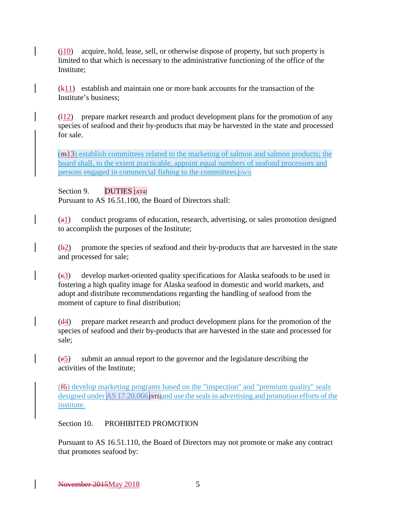$(i10)$  acquire, hold, lease, sell, or otherwise dispose of property, but such property is limited to that which is necessary to the administrative functioning of the office of the Institute;

(k11) establish and maintain one or more bank accounts for the transaction of the Institute's business;

 $\frac{112}{2}$  prepare market research and product development plans for the promotion of any species of seafood and their by-products that may be harvested in the state and processed for sale.

 $(m13)$  establish committees related to the marketing of salmon and salmon products; the board shall, to the extent practicable, appoint equal numbers of seafood processors and persons engaged in commercial fishing to the committees.

Section 9.  $DUTIES$  [AT4]

Pursuant to AS 16.51.100, the Board of Directors shall:

 $(a_1)$  conduct programs of education, research, advertising, or sales promotion designed to accomplish the purposes of the Institute;

 $(\frac{b2}{})$  promote the species of seafood and their by-products that are harvested in the state and processed for sale;

(c3) develop market-oriented quality specifications for Alaska seafoods to be used in fostering a high quality image for Alaska seafood in domestic and world markets, and adopt and distribute recommendations regarding the handling of seafood from the moment of capture to final distribution;

 $(d_4)$  prepare market research and product development plans for the promotion of the species of seafood and their by-products that are harvested in the state and processed for sale;

(e5) submit an annual report to the governor and the legislature describing the activities of the Institute;

(f6) develop marketing programs based on the "inspection" and "premium quality" seals designed unde[r AS 17.20.066](http://www.akleg.gov/basis/statutes.asp#17.20.066) [strs]and use the seals in advertising and promotion efforts of the institute.

# Section 10. PROHIBITED PROMOTION

Pursuant to AS 16.51.110, the Board of Directors may not promote or make any contract that promotes seafood by: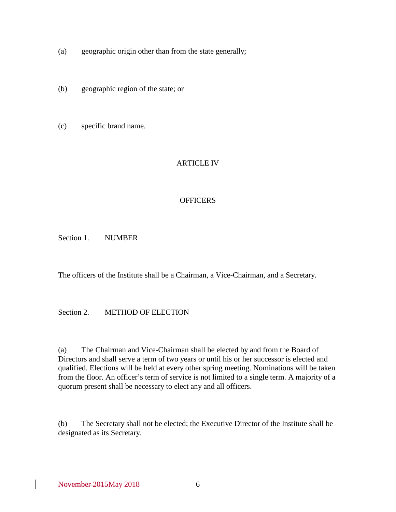- (a) geographic origin other than from the state generally;
- (b) geographic region of the state; or
- (c) specific brand name.

## ARTICLE IV

### **OFFICERS**

Section 1. NUMBER

The officers of the Institute shall be a Chairman, a Vice-Chairman, and a Secretary.

## Section 2. METHOD OF ELECTION

(a) The Chairman and Vice-Chairman shall be elected by and from the Board of Directors and shall serve a term of two years or until his or her successor is elected and qualified. Elections will be held at every other spring meeting. Nominations will be taken from the floor. An officer's term of service is not limited to a single term. A majority of a quorum present shall be necessary to elect any and all officers.

(b) The Secretary shall not be elected; the Executive Director of the Institute shall be designated as its Secretary.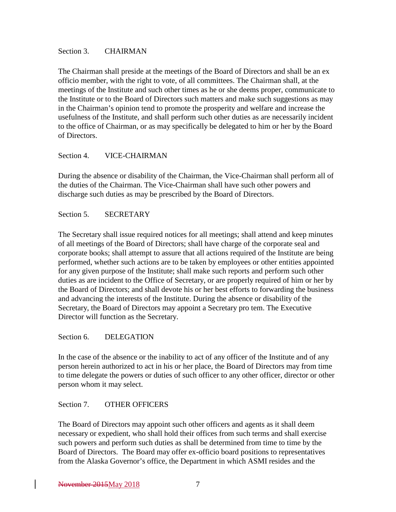#### Section 3. CHAIRMAN

The Chairman shall preside at the meetings of the Board of Directors and shall be an ex officio member, with the right to vote, of all committees. The Chairman shall, at the meetings of the Institute and such other times as he or she deems proper, communicate to the Institute or to the Board of Directors such matters and make such suggestions as may in the Chairman's opinion tend to promote the prosperity and welfare and increase the usefulness of the Institute, and shall perform such other duties as are necessarily incident to the office of Chairman, or as may specifically be delegated to him or her by the Board of Directors.

### Section 4. VICE-CHAIRMAN

During the absence or disability of the Chairman, the Vice-Chairman shall perform all of the duties of the Chairman. The Vice-Chairman shall have such other powers and discharge such duties as may be prescribed by the Board of Directors.

Section 5. SECRETARY

The Secretary shall issue required notices for all meetings; shall attend and keep minutes of all meetings of the Board of Directors; shall have charge of the corporate seal and corporate books; shall attempt to assure that all actions required of the Institute are being performed, whether such actions are to be taken by employees or other entities appointed for any given purpose of the Institute; shall make such reports and perform such other duties as are incident to the Office of Secretary, or are properly required of him or her by the Board of Directors; and shall devote his or her best efforts to forwarding the business and advancing the interests of the Institute. During the absence or disability of the Secretary, the Board of Directors may appoint a Secretary pro tem. The Executive Director will function as the Secretary.

Section 6. DELEGATION

In the case of the absence or the inability to act of any officer of the Institute and of any person herein authorized to act in his or her place, the Board of Directors may from time to time delegate the powers or duties of such officer to any other officer, director or other person whom it may select.

## Section 7. OTHER OFFICERS

The Board of Directors may appoint such other officers and agents as it shall deem necessary or expedient, who shall hold their offices from such terms and shall exercise such powers and perform such duties as shall be determined from time to time by the Board of Directors. The Board may offer ex-officio board positions to representatives from the Alaska Governor's office, the Department in which ASMI resides and the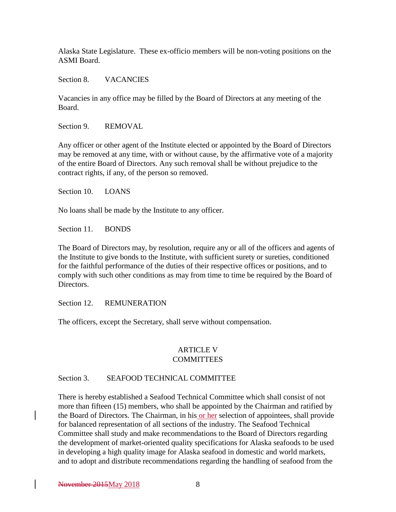Alaska State Legislature. These ex-officio members will be non-voting positions on the ASMI Board.

Section 8. VACANCIES

Vacancies in any office may be filled by the Board of Directors at any meeting of the Board.

Section 9. REMOVAL

Any officer or other agent of the Institute elected or appointed by the Board of Directors may be removed at any time, with or without cause, by the affirmative vote of a majority of the entire Board of Directors. Any such removal shall be without prejudice to the contract rights, if any, of the person so removed.

Section 10. LOANS

No loans shall be made by the Institute to any officer.

Section 11. BONDS

The Board of Directors may, by resolution, require any or all of the officers and agents of the Institute to give bonds to the Institute, with sufficient surety or sureties, conditioned for the faithful performance of the duties of their respective offices or positions, and to comply with such other conditions as may from time to time be required by the Board of Directors.

Section 12. REMUNERATION

The officers, except the Secretary, shall serve without compensation.

### ARTICLE V **COMMITTEES**

#### Section 3. SEAFOOD TECHNICAL COMMITTEE

There is hereby established a Seafood Technical Committee which shall consist of not more than fifteen (15) members, who shall be appointed by the Chairman and ratified by the Board of Directors. The Chairman, in his or her selection of appointees, shall provide for balanced representation of all sections of the industry. The Seafood Technical Committee shall study and make recommendations to the Board of Directors regarding the development of market-oriented quality specifications for Alaska seafoods to be used in developing a high quality image for Alaska seafood in domestic and world markets, and to adopt and distribute recommendations regarding the handling of seafood from the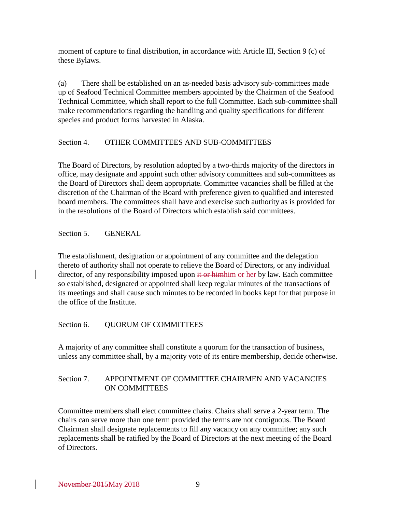moment of capture to final distribution, in accordance with Article III, Section 9 (c) of these Bylaws.

(a) There shall be established on an as-needed basis advisory sub-committees made up of Seafood Technical Committee members appointed by the Chairman of the Seafood Technical Committee, which shall report to the full Committee. Each sub-committee shall make recommendations regarding the handling and quality specifications for different species and product forms harvested in Alaska.

# Section 4. OTHER COMMITTEES AND SUB-COMMITTEES

The Board of Directors, by resolution adopted by a two-thirds majority of the directors in office, may designate and appoint such other advisory committees and sub-committees as the Board of Directors shall deem appropriate. Committee vacancies shall be filled at the discretion of the Chairman of the Board with preference given to qualified and interested board members. The committees shall have and exercise such authority as is provided for in the resolutions of the Board of Directors which establish said committees.

Section 5. GENERAL

The establishment, designation or appointment of any committee and the delegation thereto of authority shall not operate to relieve the Board of Directors, or any individual director, of any responsibility imposed upon it or himhim or her by law. Each committee so established, designated or appointed shall keep regular minutes of the transactions of its meetings and shall cause such minutes to be recorded in books kept for that purpose in the office of the Institute.

# Section 6. QUORUM OF COMMITTEES

A majority of any committee shall constitute a quorum for the transaction of business, unless any committee shall, by a majority vote of its entire membership, decide otherwise.

# Section 7. APPOINTMENT OF COMMITTEE CHAIRMEN AND VACANCIES ON COMMITTEES

Committee members shall elect committee chairs. Chairs shall serve a 2-year term. The chairs can serve more than one term provided the terms are not contiguous. The Board Chairman shall designate replacements to fill any vacancy on any committee; any such replacements shall be ratified by the Board of Directors at the next meeting of the Board of Directors.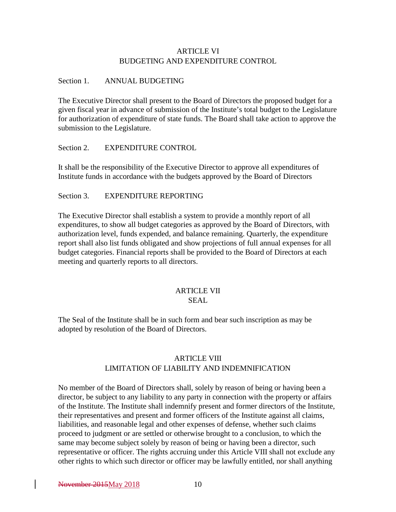### ARTICLE VI BUDGETING AND EXPENDITURE CONTROL

#### Section 1. ANNUAL BUDGETING

The Executive Director shall present to the Board of Directors the proposed budget for a given fiscal year in advance of submission of the Institute's total budget to the Legislature for authorization of expenditure of state funds. The Board shall take action to approve the submission to the Legislature.

#### Section 2. EXPENDITURE CONTROL

It shall be the responsibility of the Executive Director to approve all expenditures of Institute funds in accordance with the budgets approved by the Board of Directors

### Section 3. EXPENDITURE REPORTING

The Executive Director shall establish a system to provide a monthly report of all expenditures, to show all budget categories as approved by the Board of Directors, with authorization level, funds expended, and balance remaining. Quarterly, the expenditure report shall also list funds obligated and show projections of full annual expenses for all budget categories. Financial reports shall be provided to the Board of Directors at each meeting and quarterly reports to all directors.

# ARTICLE VII

# SEAL

The Seal of the Institute shall be in such form and bear such inscription as may be adopted by resolution of the Board of Directors.

# ARTICLE VIII LIMITATION OF LIABILITY AND INDEMNIFICATION

No member of the Board of Directors shall, solely by reason of being or having been a director, be subject to any liability to any party in connection with the property or affairs of the Institute. The Institute shall indemnify present and former directors of the Institute, their representatives and present and former officers of the Institute against all claims, liabilities, and reasonable legal and other expenses of defense, whether such claims proceed to judgment or are settled or otherwise brought to a conclusion, to which the same may become subject solely by reason of being or having been a director, such representative or officer. The rights accruing under this Article VIII shall not exclude any other rights to which such director or officer may be lawfully entitled, nor shall anything